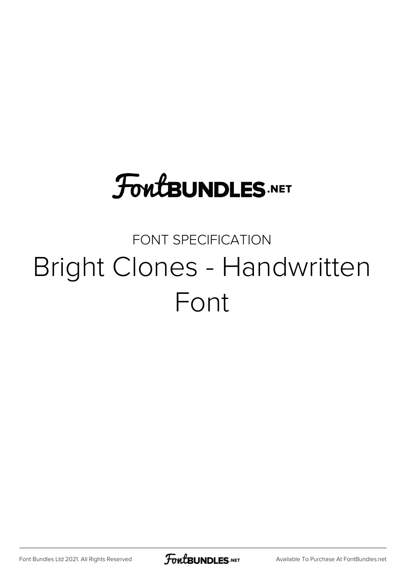## **FoutBUNDLES.NET**

## FONT SPECIFICATION Bright Clones - Handwritten Font

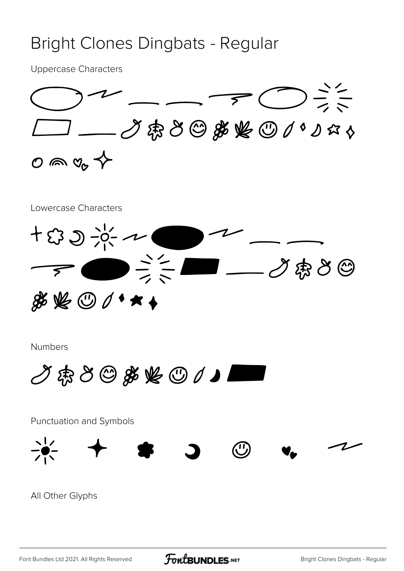## Bright Clones Dingbats - Regular

Uppercase Characters



Lowercase Characters



Numbers



Punctuation and Symbols



All Other Glyphs

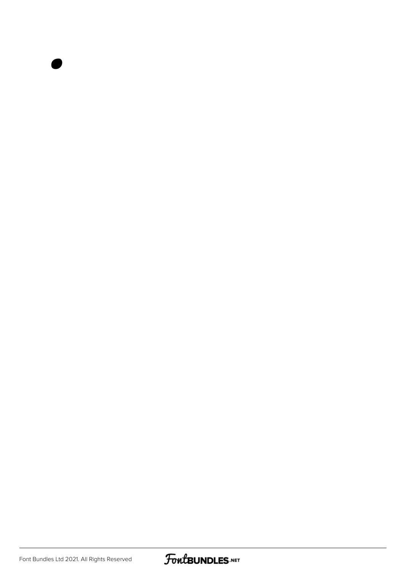

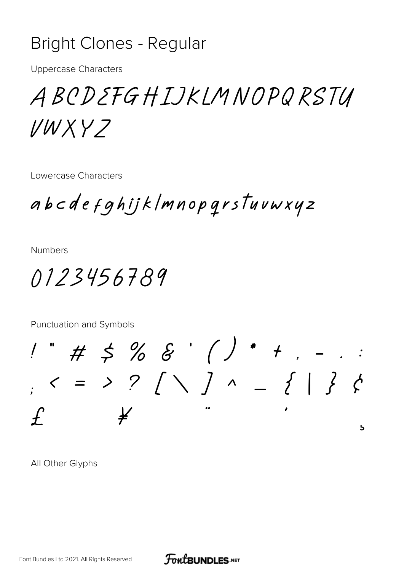## **Bright Clones - Regular**

**Uppercase Characters** 

ABCDEFGHIJKLMNOPQRSTU  $VWXYZ$ 

Lowercase Characters

abcdefghijk/mnopgrsTuvwxyz

**Numbers** 

0123456789

Punctuation and Symbols

 $1$  " #  $5$  % & ' ( ) \* + , - . :  $5 = 22 [3]^{11} - 2136$  $\int$  $\overline{5}$ 

All Other Glyphs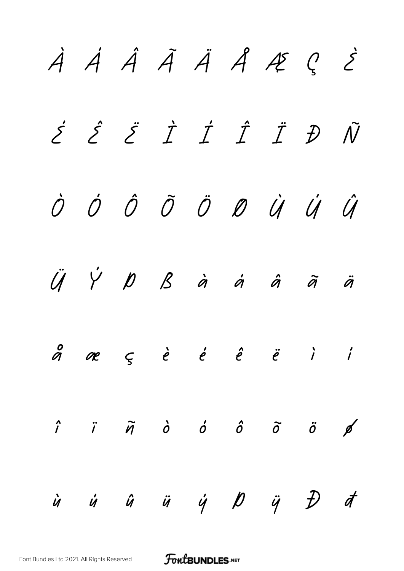